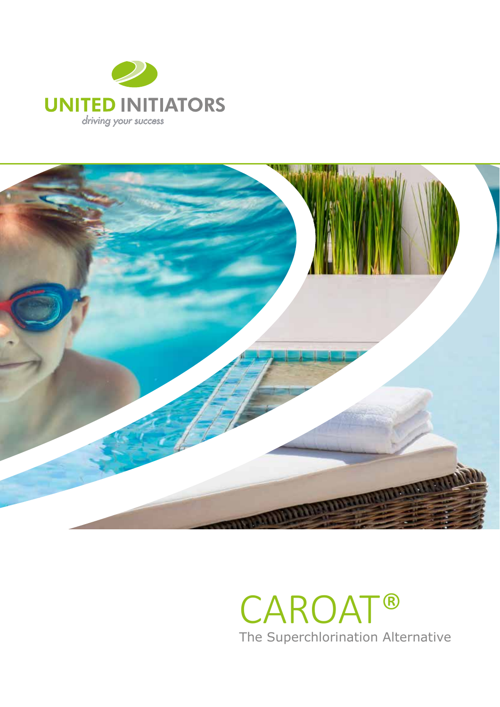



## CAROAT® The Superchlorination Alternative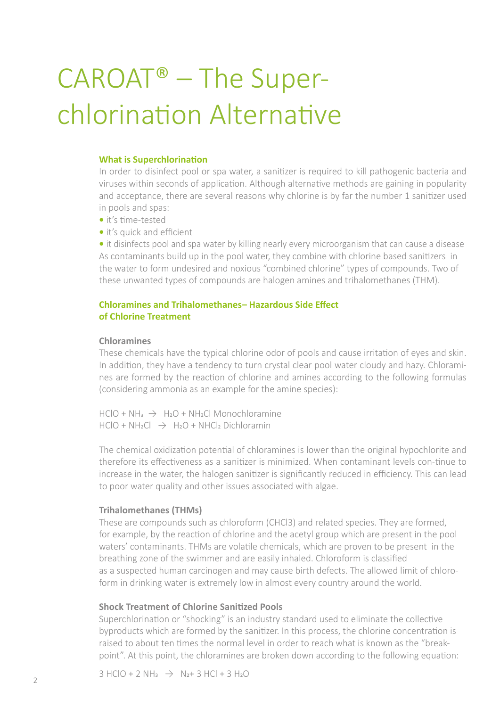# CAROAT® – The Superchlorination Alternative

#### **What is Superchlorination**

In order to disinfect pool or spa water, a sanitizer is required to kill pathogenic bacteria and viruses within seconds of application. Although alternative methods are gaining in popularity and acceptance, there are several reasons why chlorine is by far the number 1 sanitizer used in pools and spas:

- it's time-tested
- it's quick and efficient

**•** it disinfects pool and spa water by killing nearly every microorganism that can cause a disease As contaminants build up in the pool water, they combine with chlorine based sanitizers in the water to form undesired and noxious "combined chlorine" types of compounds. Two of these unwanted types of compounds are halogen amines and trihalomethanes (THM).

## **Chloramines and Trihalomethanes– Hazardous Side Effect of Chlorine Treatment**

#### **Chloramines**

These chemicals have the typical chlorine odor of pools and cause irritation of eyes and skin. In addition, they have a tendency to turn crystal clear pool water cloudy and hazy. Chloramines are formed by the reaction of chlorine and amines according to the following formulas (considering ammonia as an example for the amine species):

 $HClO + NH<sub>a</sub>$   $\rightarrow$   $H<sub>2</sub>O + NH<sub>2</sub>Cl Monochloramine$  $HClO + NH<sub>2</sub>Cl$   $\rightarrow$   $H<sub>2</sub>O + NHCl<sub>2</sub> Dichloramin$ 

The chemical oxidization potential of chloramines is lower than the original hypochlorite and therefore its effectiveness as a sanitizer is minimized. When contaminant levels con-tinue to increase in the water, the halogen sanitizer is significantly reduced in efficiency. This can lead to poor water quality and other issues associated with algae.

#### **Trihalomethanes (THMs)**

These are compounds such as chloroform (CHCl3) and related species. They are formed, for example, by the reaction of chlorine and the acetyl group which are present in the pool waters' contaminants. THMs are volatile chemicals, which are proven to be present in the breathing zone of the swimmer and are easily inhaled. Chloroform is classified as a suspected human carcinogen and may cause birth defects. The allowed limit of chloroform in drinking water is extremely low in almost every country around the world.

### **Shock Treatment of Chlorine Sanitized Pools**

Superchlorination or "shocking" is an industry standard used to eliminate the collective byproducts which are formed by the sanitizer. In this process, the chlorine concentration is raised to about ten times the normal level in order to reach what is known as the "breakpoint". At this point, the chloramines are broken down according to the following equation:

 $3$  HClO + 2 NH<sub>3</sub>  $\rightarrow$  N<sub>2</sub>+ 3 HCl + 3 H<sub>2</sub>O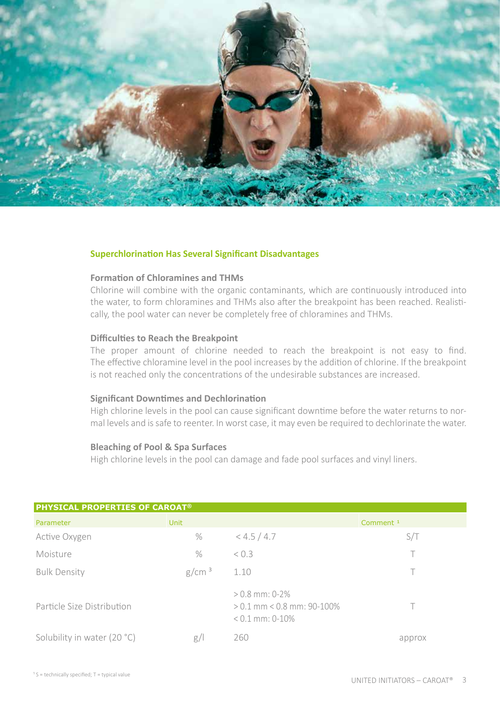

#### **Superchlorination Has Several Significant Disadvantages**

#### **Formation of Chloramines and THMs**

Chlorine will combine with the organic contaminants, which are continuously introduced into the water, to form chloramines and THMs also after the breakpoint has been reached. Realistically, the pool water can never be completely free of chloramines and THMs.

#### **Difficulties to Reach the Breakpoint**

The proper amount of chlorine needed to reach the breakpoint is not easy to find. The effective chloramine level in the pool increases by the addition of chlorine. If the breakpoint is not reached only the concentrations of the undesirable substances are increased.

#### **Significant Downtimes and Dechlorination**

High chlorine levels in the pool can cause significant downtime before the water returns to normal levels and is safe to reenter. In worst case, it may even be required to dechlorinate the water.

#### **Bleaching of Pool & Spa Surfaces**

High chlorine levels in the pool can damage and fade pool surfaces and vinyl liners.

| <b>PHYSICAL PROPERTIES OF CAROAT<sup>®</sup></b> |                   |                                                                       |                      |  |
|--------------------------------------------------|-------------------|-----------------------------------------------------------------------|----------------------|--|
| Parameter                                        | Unit              |                                                                       | Comment <sup>1</sup> |  |
| Active Oxygen                                    | $\%$              | < 4.5 / 4.7                                                           | S/T                  |  |
| Moisture                                         | $\%$              | < 0.3                                                                 |                      |  |
| <b>Bulk Density</b>                              | g/cm <sup>3</sup> | 1.10                                                                  |                      |  |
| Particle Size Distribution                       |                   | $> 0.8$ mm: 0-2%<br>$> 0.1$ mm < 0.8 mm; 90-100%<br>$< 0.1$ mm: 0-10% |                      |  |
| Solubility in water (20 °C)                      | g/                | 260                                                                   | approx               |  |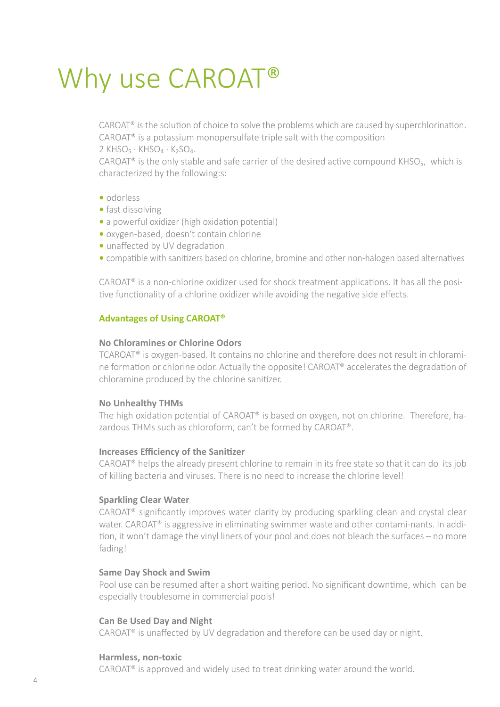## Why use CAROAT®

CAROAT® is the solution of choice to solve the problems which are caused by superchlorination. CAROAT® is a potassium monopersulfate triple salt with the composition 2 KHSO<sub>5</sub> · KHSO<sub>4</sub> · K<sub>2</sub>SO<sub>4</sub>.

CAROAT<sup>®</sup> is the only stable and safe carrier of the desired active compound KHSO<sub>5</sub>, which is characterized by the following:s:

- odorless
- fast dissolving
- a powerful oxidizer (high oxidation potential)
- oxygen-based, doesn't contain chlorine
- unaffected by UV degradation
- compatible with sanitizers based on chlorine, bromine and other non-halogen based alternatives

CAROAT® is a non-chlorine oxidizer used for shock treatment applications. It has all the positive functionality of a chlorine oxidizer while avoiding the negative side effects.

## **Advantages of Using CAROAT®**

#### **No Chloramines or Chlorine Odors**

TCAROAT® is oxygen-based. It contains no chlorine and therefore does not result in chloramine formation or chlorine odor. Actually the opposite! CAROAT® accelerates the degradation of chloramine produced by the chlorine sanitizer.

### **No Unhealthy THMs**

The high oxidation potential of CAROAT® is based on oxygen, not on chlorine. Therefore, hazardous THMs such as chloroform, can't be formed by CAROAT®.

### **Increases Efficiency of the Sanitizer**

CAROAT® helps the already present chlorine to remain in its free state so that it can do its job of killing bacteria and viruses. There is no need to increase the chlorine level!

### **Sparkling Clear Water**

CAROAT® significantly improves water clarity by producing sparkling clean and crystal clear water. CAROAT<sup>®</sup> is aggressive in eliminating swimmer waste and other contami-nants. In addition, it won't damage the vinyl liners of your pool and does not bleach the surfaces – no more fading!

#### **Same Day Shock and Swim**

Pool use can be resumed after a short waiting period. No significant downtime, which can be especially troublesome in commercial pools!

### **Can Be Used Day and Night**

CAROAT® is unaffected by UV degradation and therefore can be used day or night.

#### **Harmless, non-toxic**

CAROAT® is approved and widely used to treat drinking water around the world.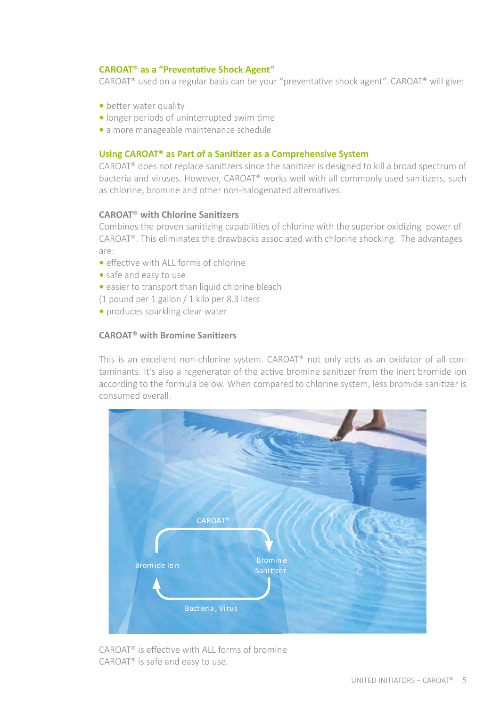## **CAROAT® as a "Preventative Shock Agent"**

CAROAT® used on a regular basis can be your "preventative shock agent". CAROAT® will give:

- better water quality
- longer periods of uninterrupted swim time
- a more manageable maintenance schedule

### **Using CAROAT® as Part of a Sanitizer as a Comprehensive System**

CAROAT® does not replace sanitizers since the sanitizer is designed to kill a broad spectrum of bacteria and viruses. However, CAROAT® works well with all commonly used sanitizers, such as chlorine, bromine and other non-halogenated alternatives.

### **CAROAT® with Chlorine Sanitizers**

Combines the proven sanitizing capabilities of chlorine with the superior oxidizing power of CAROAT®. This eliminates the drawbacks associated with chlorine shocking. The advantages are:

- effective with ALL forms of chlorine
- safe and easy to use
- easier to transport than liquid chlorine bleach

(1 pound per 1 gallon / 1 kilo per 8.3 liters

**•** produces sparkling clear water

### **CAROAT® with Bromine Sanitizers**

This is an excellent non-chlorine system. CAROAT® not only acts as an oxidator of all contaminants. It's also a regenerator of the active bromine sanitizer from the inert bromide ion according to the formula below. When compared to chlorine system, less bromide sanitizer is consumed overall.



CAROAT® is effective with ALL forms of bromine CAROAT® is safe and easy to use.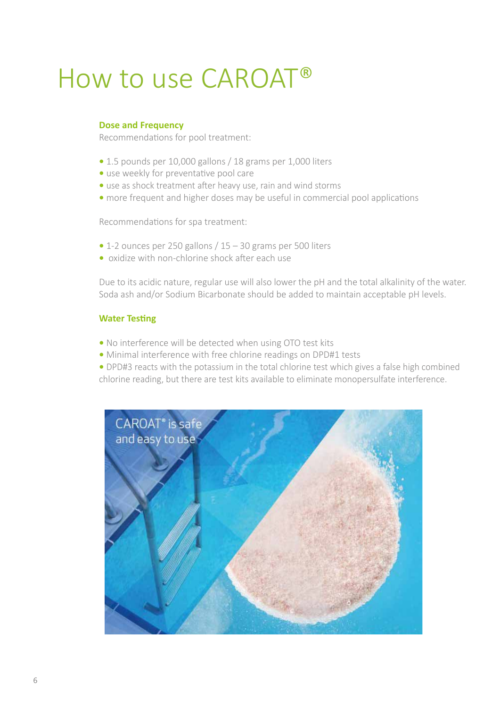## How to use CAROAT®

### **Dose and Frequency**

Recommendations for pool treatment:

- 1.5 pounds per 10,000 gallons / 18 grams per 1,000 liters
- use weekly for preventative pool care
- use as shock treatment after heavy use, rain and wind storms
- more frequent and higher doses may be useful in commercial pool applications

Recommendations for spa treatment:

- 1-2 ounces per 250 gallons / 15 30 grams per 500 liters
- oxidize with non-chlorine shock after each use

Due to its acidic nature, regular use will also lower the pH and the total alkalinity of the water. Soda ash and/or Sodium Bicarbonate should be added to maintain acceptable pH levels.

#### **Water Testing**

- No interference will be detected when using OTO test kits
- Minimal interference with free chlorine readings on DPD#1 tests
- DPD#3 reacts with the potassium in the total chlorine test which gives a false high combined chlorine reading, but there are test kits available to eliminate monopersulfate interference.

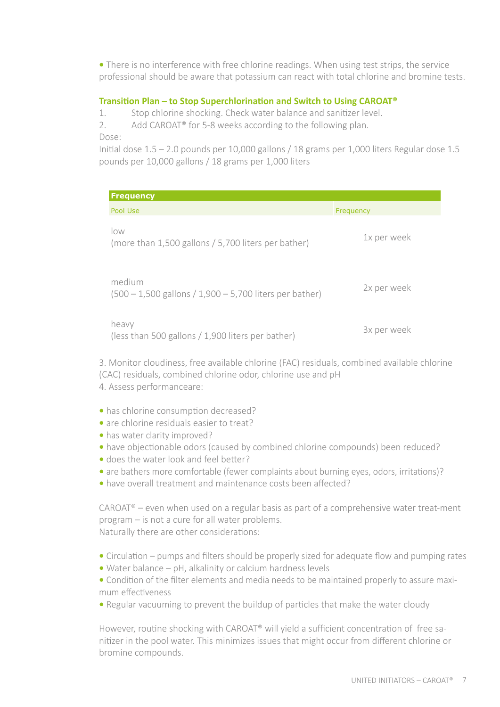**•** There is no interference with free chlorine readings. When using test strips, the service professional should be aware that potassium can react with total chlorine and bromine tests.

## **Transition Plan – to Stop Superchlorination and Switch to Using CAROAT®**

1. Stop chlorine shocking. Check water balance and sanitizer level.

2. Add CAROAT<sup>®</sup> for 5-8 weeks according to the following plan.

Dose:

Initial dose 1.5 – 2.0 pounds per 10,000 gallons / 18 grams per 1,000 liters Regular dose 1.5 pounds per 10,000 gallons / 18 grams per 1,000 liters

| <b>Frequency</b>                                                       |             |  |  |  |
|------------------------------------------------------------------------|-------------|--|--|--|
| Pool Use                                                               | Frequency   |  |  |  |
| $\overline{ON}$<br>(more than 1,500 gallons / 5,700 liters per bather) | 1x per week |  |  |  |
| medium<br>$(500 - 1,500$ gallons $/ 1,900 - 5,700$ liters per bather)  | 2x per week |  |  |  |
| heavy<br>(less than 500 gallons / 1,900 liters per bather)             | 3x per week |  |  |  |

3. Monitor cloudiness, free available chlorine (FAC) residuals, combined available chlorine (CAC) residuals, combined chlorine odor, chlorine use and pH 4. Assess performanceare:

- has chlorine consumption decreased?
- are chlorine residuals easier to treat?
- has water clarity improved?
- have objectionable odors (caused by combined chlorine compounds) been reduced?
- does the water look and feel better?
- are bathers more comfortable (fewer complaints about burning eyes, odors, irritations)?
- have overall treatment and maintenance costs been affected?

CAROAT® – even when used on a regular basis as part of a comprehensive water treat-ment program – is not a cure for all water problems. Naturally there are other considerations:

- Circulation pumps and filters should be properly sized for adequate flow and pumping rates
- Water balance pH, alkalinity or calcium hardness levels
- Condition of the filter elements and media needs to be maintained properly to assure maximum effectiveness
- Regular vacuuming to prevent the buildup of particles that make the water cloudy

However, routine shocking with CAROAT® will yield a sufficient concentration of free sanitizer in the pool water. This minimizes issues that might occur from different chlorine or bromine compounds.